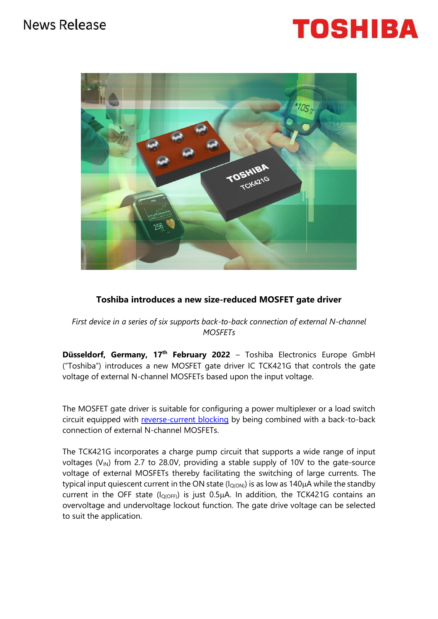## News Release





### **Toshiba introduces a new size-reduced MOSFET gate driver**

*First device in a series of six supports back-to-back connection of external N-channel MOSFETs*

**Düsseldorf, Germany, 17th February 2022** – Toshiba Electronics Europe GmbH ("Toshiba") introduces a new MOSFET gate driver IC TCK421G that controls the gate voltage of external N-channel MOSFETs based upon the input voltage.

The MOSFET gate driver is suitable for configuring a power multiplexer or a load switch circuit equipped with [reverse-current blocking](https://toshiba.semicon-storage.com/eu/semiconductor/knowledge/faq/liner_load-switch-ics/load-switch-ics12.html) by being combined with a back-to-back connection of external N-channel MOSFETs.

The TCK421G incorporates a charge pump circuit that supports a wide range of input voltages ( $V_{IN}$ ) from 2.7 to 28.0V, providing a stable supply of 10V to the gate-source voltage of external MOSFETs thereby facilitating the switching of large currents. The typical input quiescent current in the ON state ( $I_{Q(ON)}$ ) is as low as 140 $\mu$ A while the standby current in the OFF state ( $I_{O(OFF)}$ ) is just 0.5 $\mu$ A. In addition, the TCK421G contains an overvoltage and undervoltage lockout function. The gate drive voltage can be selected to suit the application.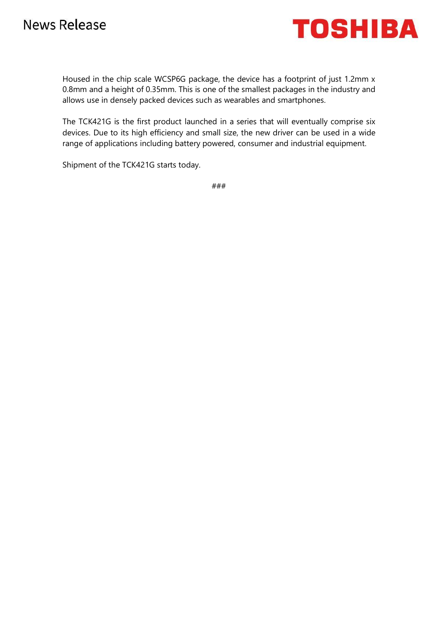

Housed in the chip scale WCSP6G package, the device has a footprint of just 1.2mm x 0.8mm and a height of 0.35mm. This is one of the smallest packages in the industry and allows use in densely packed devices such as wearables and smartphones.

The TCK421G is the first product launched in a series that will eventually comprise six devices. Due to its high efficiency and small size, the new driver can be used in a wide range of applications including battery powered, consumer and industrial equipment.

Shipment of the TCK421G starts today.

###